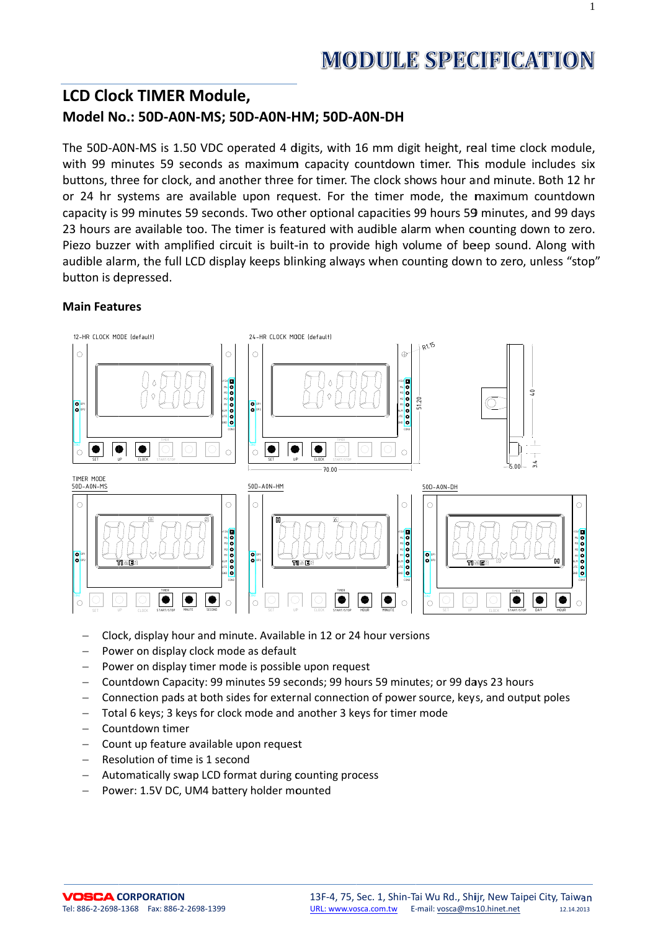$\mathbf{1}$ 

# **LCD Clock TIMER Module,** Model No.: 50D-A0N-MS; 50D-A0N-HM; 50D-A0N-DH

The 50D-A0N-MS is 1.50 VDC operated 4 digits, with 16 mm digit height, real time clock module, with 99 minutes 59 seconds as maximum capacity countdown timer. This module includes six buttons, three for clock, and another three for timer. The clock shows hour and minute. Both 12 hr or 24 hr systems are available upon request. For the timer mode, the maximum countdown capacity is 99 minutes 59 seconds. Two other optional capacities 99 hours 59 minutes, and 99 days 23 hours are available too. The timer is featured with audible alarm when counting down to zero. Piezo buzzer with amplified circuit is built-in to provide high volume of beep sound. Along with audible alarm, the full LCD display keeps blinking always when counting down to zero, unless "stop" button is depressed.

#### **Main Features**



- Clock, display hour and minute. Available in 12 or 24 hour versions
- Power on display clock mode as default
- Power on display timer mode is possible upon request
- Countdown Capacity: 99 minutes 59 seconds; 99 hours 59 minutes; or 99 days 23 hours
- Connection pads at both sides for external connection of power source, keys, and output poles
- Total 6 keys; 3 keys for clock mode and another 3 keys for timer mode  $\equiv$
- Countdown timer
- Count up feature available upon request
- Resolution of time is 1 second  $\equiv$
- Automatically swap LCD format during counting process  $\,$
- Power: 1.5V DC, UM4 battery holder mounted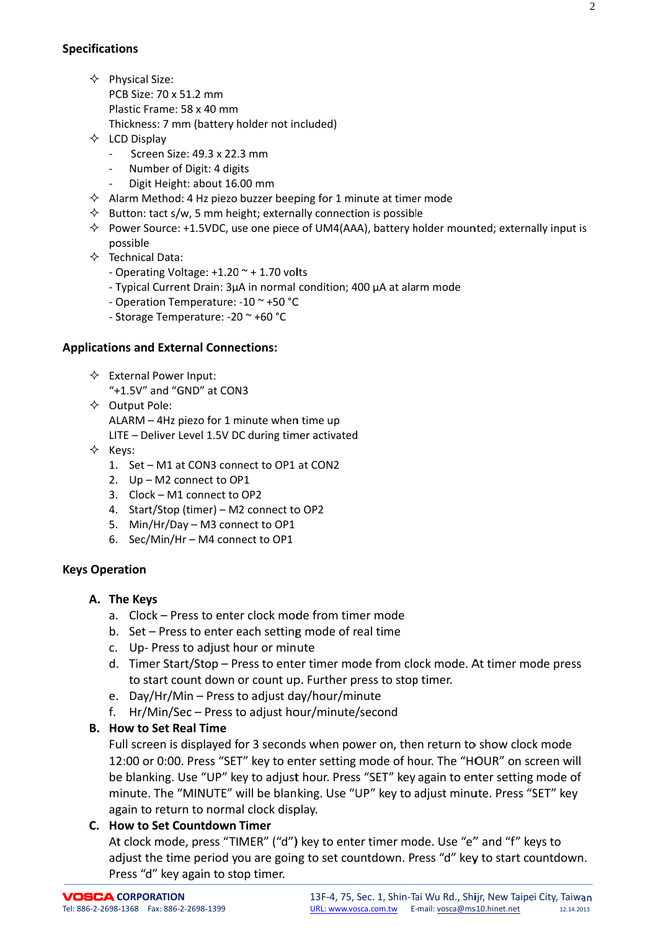- $\Leftrightarrow$  Physical Size:
	- PCB Size: 70 x 51.2 mm Plastic Frame: 58 x 40 mm Thickness: 7 mm (battery holder not included)
- $\Leftrightarrow$  LCD Display
	- Screen Size: 49.3 x 22.3 mm
	- Number of Digit: 4 digits
	- Digit Height: about 16.00 mm  $\mathcal{L}^{\text{max}}$
- $\Diamond$  Alarm Method: 4 Hz piezo buzzer beeping for 1 minute at timer mode
- $\Diamond$  Button: tact s/w, 5 mm height; externally connection is possible
- $\Diamond$  Power Source: +1.5VDC, use one piece of UM4(AAA), battery holder mounted; externally input is possible
- $\Leftrightarrow$  Technical Data:
	- Operating Voltage:  $+1.20$   $\sim$  + 1.70 volts
	- Typical Current Drain: 3µA in normal condition; 400 µA at alarm mode
	- Operation Temperature: -10 ~ +50 °C
	- Storage Temperature: -20 ~ +60 °C

## **Applications and External Connections:**

- $\Leftrightarrow$  External Power Input: "+1.5V" and "GND" at CON3
- $\Diamond$  Output Pole:

ALARM - 4Hz piezo for 1 minute when time up

LITE - Deliver Level 1.5V DC during timer activated

- $\Leftrightarrow$  Keys:
	- 1. Set M1 at CON3 connect to OP1 at CON2
	- 2. Up M2 connect to OP1
	- 3. Clock M1 connect to OP2
	- 4. Start/Stop (timer) M2 connect to OP2
	- 5. Min/Hr/Day M3 connect to OP1
	- 6. Sec/Min/Hr M4 connect to OP1

## **Keys Operation**

- A. The Keys
	- a. Clock Press to enter clock mode from timer mode
	- b. Set Press to enter each setting mode of real time
	- c. Up-Press to adjust hour or minute
	- d. Timer Start/Stop Press to enter timer mode from clock mode. At timer mode press to start count down or count up. Further press to stop timer.
	- e. Day/Hr/Min Press to adjust day/hour/minute
	- f. Hr/Min/Sec Press to adjust hour/minute/second

## **B.** How to Set Real Time

Full screen is displayed for 3 seconds when power on, then return to show clock mode 12:00 or 0:00. Press "SET" key to enter setting mode of hour. The "HOUR" on screen will be blanking. Use "UP" key to adjust hour. Press "SET" key again to enter setting mode of minute. The "MINUTE" will be blanking. Use "UP" key to adjust minute. Press "SET" key again to return to normal clock display.

## C. How to Set Countdown Timer

At clock mode, press "TIMER" ("d") key to enter timer mode. Use "e" and "f" keys to adjust the time period you are going to set countdown. Press "d" key to start countdown. Press "d" key again to stop timer.